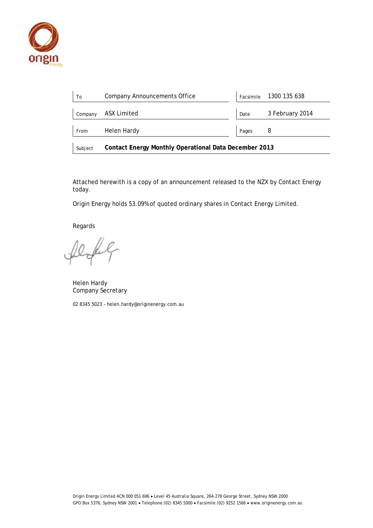

| To      | <b>Company Announcements Office</b>                          |       | Facsimile 1300 135 638 |  |  |  |  |
|---------|--------------------------------------------------------------|-------|------------------------|--|--|--|--|
| Company | ASX Limited                                                  | Date  | 3 February 2014        |  |  |  |  |
| From    | Helen Hardy                                                  | Pages | 8                      |  |  |  |  |
| Subject | <b>Contact Energy Monthly Operational Data December 2013</b> |       |                        |  |  |  |  |

Attached herewith is a copy of an announcement released to the NZX by Contact Energy today.

Origin Energy holds 53.09% of quoted ordinary shares in Contact Energy Limited.

Regards

fel

Helen Hardy Company Secretary

02 8345 5023 – helen.hardy@originenergy.com.au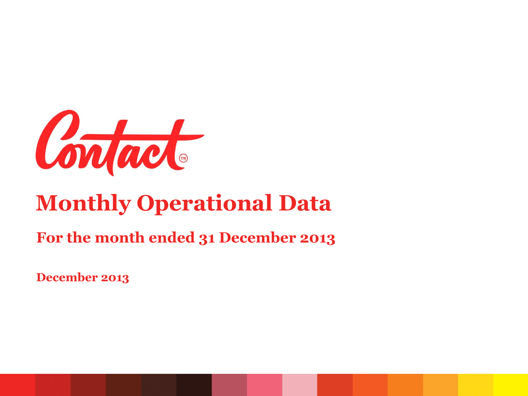

# **Monthly Operational Data**

#### **For the month ended 31 December 2013**

**December 2013**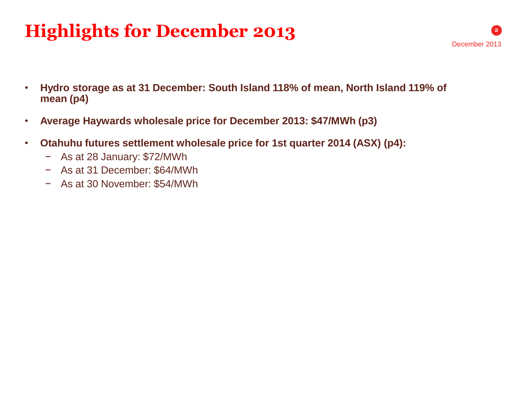## **Highlights for December 2013**

- **Hydro storage as at 31 December: South Island 118% of mean, North Island 119% of mean (p4)**
- **Average Haywards wholesale price for December 2013: \$47/MWh (p3)**
- **Otahuhu futures settlement wholesale price for 1st quarter 2014 (ASX) (p4):**
	- − As at 28 January: \$72/MWh
	- − As at 31 December: \$64/MWh
	- − As at 30 November: \$54/MWh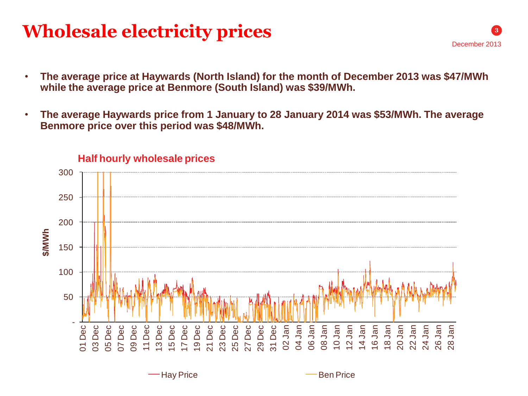### **Wholesale electricity prices**

- **The average price at Haywards (North Island) for the month of December 2013 was \$47/MWh while the average price at Benmore (South Island) was \$39/MWh.**
- **The average Haywards price from 1 January to 28 January 2014 was \$53/MWh. The average Benmore price over this period was \$48/MWh.**

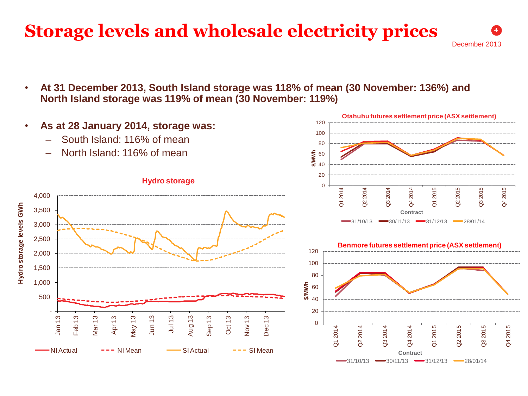#### **Storage levels and wholesale electricity prices**

December 2013

Q3 2015

Q3 2015

Q4 2015

Q4 2015

**4**

• **At 31 December 2013, South Island storage was 118% of mean (30 November: 136%) and North Island storage was 119% of mean (30 November: 119%)**

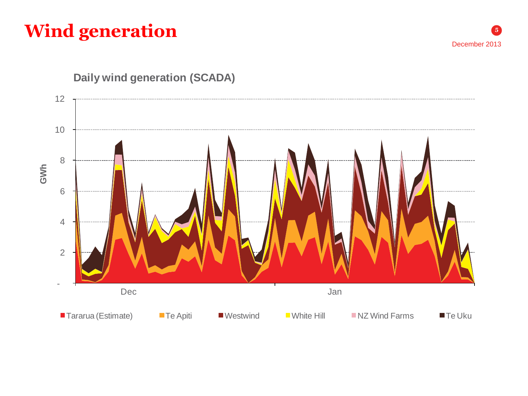## **Wind generation**



#### **Daily wind generation (SCADA)**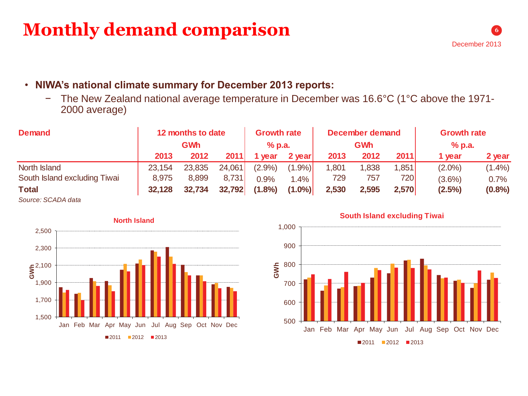#### **Monthly demand comparison**

- **NIWA's national climate summary for December 2013 reports:**
	- − The New Zealand national average temperature in December was 16.6°C (1°C above the 1971- 2000 average)

| <b>Demand</b>                | 12 months to date<br><b>GWh</b> |        | <b>Growth rate</b><br>$%$ p.a. |           | December demand<br><b>GWh</b> |       |       | <b>Growth rate</b><br>% p.a. |           |        |
|------------------------------|---------------------------------|--------|--------------------------------|-----------|-------------------------------|-------|-------|------------------------------|-----------|--------|
|                              | 2013                            | 2012   | 2011                           | vear      | 2 year                        | 2013  | 2012  | 2011                         | 1 year    | 2 year |
| North Island                 | 23,154                          | 23,835 | 24,061                         | $(2.9\%)$ | $(1.9\%)$                     | 1,801 | 1,838 | 1,851                        | $(2.0\%)$ | (1.4%) |
| South Island excluding Tiwai | 8,975                           | 8,899  | 8,731                          | 0.9%      | 1.4%                          | 729   | 757   | 720                          | $(3.6\%)$ | 0.7%   |
| <b>Total</b>                 | 32,128                          | 32,734 | 32,792                         | $(1.8\%)$ | $(1.0\%)$                     | 2,530 | 2,595 | 2,570                        | $(2.5\%)$ | (0.8%  |
| $\sim$                       |                                 |        |                                |           |                               |       |       |                              |           |        |

*Source: SCADA data*



#### **South Island excluding Tiwai**